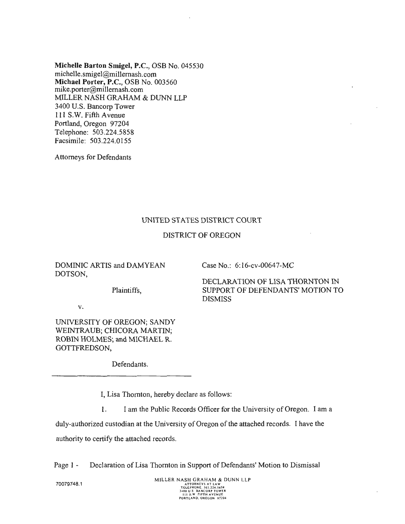Michelle Barton Smigel, P.C., OSB No. 045530 [michelle.smigel@millernash.com](mailto:michelle.smigel@millernash.com)  Michael Porter, P.C., OSB No. 003560 mike.[porter@millernash.com](mailto:porter@millernash.com)  MILLER NASH GRAHAM & DUNN LLP 3400 U.S. Bancorp Tower 111 S.W. Fifth Avenue Portland, Oregon 97204 Telephone: 503.224.5858 Facsimile: 503.224.0155

Attorneys for Defendants

# UNITED STATES DISTRICT COURT

# DISTRICT OF OREGON

DOMINIC ARTIS and DAMYEAN DOTSON,

Case No.: 6:16-cv-00647-MC

Plaintiffs,

DECLARATION OF LISA THORNTON IN SUPPORT OF DEFENDANTS' MOTION TO DISMISS

V.

UNIVERSITY OF OREGON; SANDY WEINTRAUB; CHICORA MARTIN; ROBIN HOLMES; and MICHAEL R. GOTTFREDSON,

Defendants.

I, Lisa Thornton, hereby declare as follows:

l. I am the Public Records Officer for the University of Oregon. I am a

duly-authorized custodian at the University of Oregon of the attached records. I have the authority to certify the attached records.

Page l - Declaration of Lisa Thornton in Support of Defendants' Motion to Dismissal

70079748.1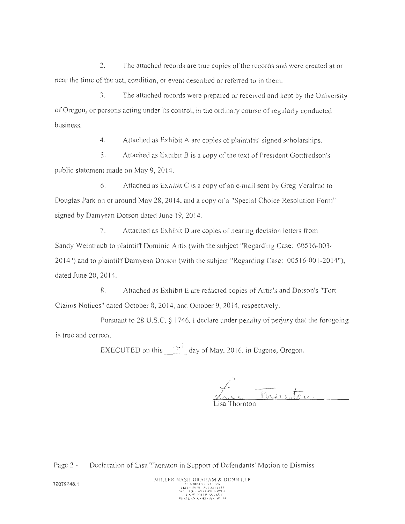2. The attached records are true copies of the records and were created at or near the time of the act, condition, or event described or referred to in them.

3. The attached records were prepared or received and kept by the University of Oregon, or persons acting under its control, in the ordinary course of regularly conducted business.

4. Attached as Exhibit A arc copies of plaintiffs' signed scholarships.

5. Attached as Exhibit B is a copy of the text of President Gottfredson's public statement made on May 9, 2014.

6. Attached as Exhibit C is a copy of an e-mail sent by Greg Veralrud to Douglas Park on or around May 28, 2014, and a copy of a "Special Choice Resolution Form" signed by Damyean Dotson dated June 19, 2014.

7. Attached as Exhibit D are copies of hearing decision letters from Sandy Weintraub to plaintiff Dominic Artis (with the subject "Regarding Case: 00516-003- 2014") and to plaintiffDamyean Dotson (with the subject "Regarding Case: 00516-001-2014"), dated June 20, 20 14.

8. Attached as Exhibit L are redacted copies of Artis's and Dotson's "Tort Claims Notices" dated October 8, 2014, and October 9, 2014, respectively.

Pursuant to 28 U.S.C.  $\S$  1746, I declare under penalty of perjury that the foregoing is true and correct.

EXECUTED on this  $\frac{1}{2}$  day of May, 2016, in Eugene, Oregon.

iisa Thornton

Page 2 - Declaration of Lisa Thornton in Support of Defendants' Motion to Dismiss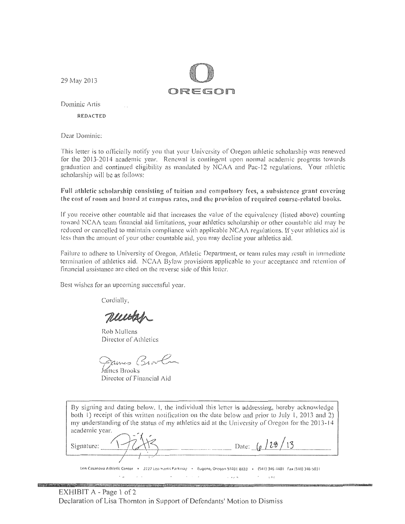29 May 2013



Dominic Artis

**REDACTED** 

Dear Dominic:

This letter is to officially notify you that your University of Oregon athletic scholarship was renewed for the 2013-2014 academic year. Renewal is contingent upon normal academic progress towards graduation and continued eligibility as mandated by NCAA and Pac-12 regulations. Your athletic scholarship will be as follows:

# Full athletic scholarship consisting of tuition and compulsory fees, a subsistence grant covering the cost of room and board at campus rates, and the provision of required course-related books.

If you receive other countable aid that increases the value of the equivalency (listed above) counting toward NCAA team financial aid limitations, your athletics scholarship or other countable aid may be reduced or cancelled to maintain compliance with applicable NCAA regulations. If your athletics aid is less than the amount of your other countable aid, you may decline your athletics aid.

Failure to adhere to University of Oregon, Athletic Department, or team rules may result in immediate termination of athletics aid. NCAA Bylaw provisions applicable to your acceptance and retention of financial assistance are cited on the reverse side of this letter.

Best wishes for an upcoming successful year.

Cordially,

Muito

Rob Mullens Director of Athletics

James Brov

**James Brooks** Director of Financial Aid

 $\mathcal{L}_{\text{max}}$ 

in a thinking and as the property of the many company of the many and as well as a part of the company of the

**DAVIS ANNUA** 

By signing and dating below, 1, the individual this letter is addressing, hereby acknowledge both 1) receipt of this written notification on the date below and prior to July 1, 2013 and 2) my understanding of the status of my athletics aid at the University of Oregon for the 2013-14 academic year. Date:  $\left( \frac{\partial}{\partial \theta} \right)$ Signature: Len Casanova Athletic Center • 2727 Leo Harris Parkway • Eugene, Oregon 97401 8833 • (541) 346-4481 Fax (541) 346-5031

 $\rightarrow$   $\lambda$ 

 $\mathcal{L}$ 

 $\mathcal{L}$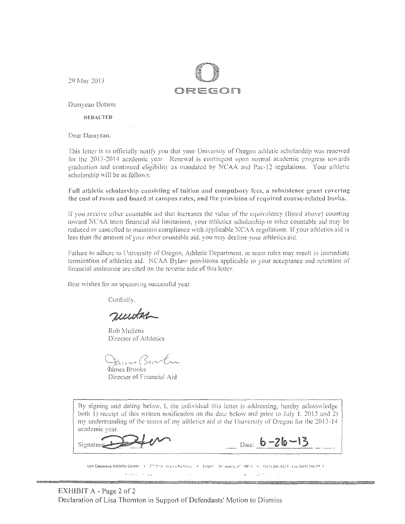29 May 2013



Damyean Dotson

**REDACTED** 

Dear Damyean:

This letter is to officially notify you that your University of Oregon athletic scholarship was renewed for the 2013-2014 academic year. Renewal is contingent upon normal academic progress towards graduation and continued eligibility as mandated by NCAA and Pac-12 regulations. Your athletic scholarship will be as follows:

Full athletic scholarship consisting of tuition and compulsory fees, a subsistence grant covering the cost of room and board at campus rates, and the provision of required course-related books.

If you receive other countable aid that increases the value of the equivalency (listed above) counting toward NCAA team financial aid limitations, your athletics scholarship or other countable aid may be reduced or cancelled to maintain compliance with applicable NCAA regulations. If your athletics aid is less than the amount of your other countable aid, you may decline your athletics aid.

Failure to adhere to University of Oregon, Athletic Department, or team rules may result in immediate termination of athletics aid. NCAA Bylaw provisions applicable to your acceptance and retention of financial assistance are cited on the reverse side of this letter.

Best wishes for an upcoming successful year.

Cordially.

nuuta

Rob Mullens Director of Athletics

James Brook

Mmes Brooks Director of Financial Aid

By signing and dating below, I, the individual this letter is addressing, hereby acknowledge both 1) receipt of this written notification on the date below and prior to July 1, 2013 and 2) my understanding of the status of my athletics aid at the University of Oregon for the 2013-14 academic year.

Signature

 $_{\text{Date:}}$  6-26-13

Len Casanova Athletic Center (+ 2\*\*2\*e) Harris Packway (+ Eugen) Or don 9x40 -8873 (+ /541) 346-4421 Eax (541) 346-94-1 de maler in Ingland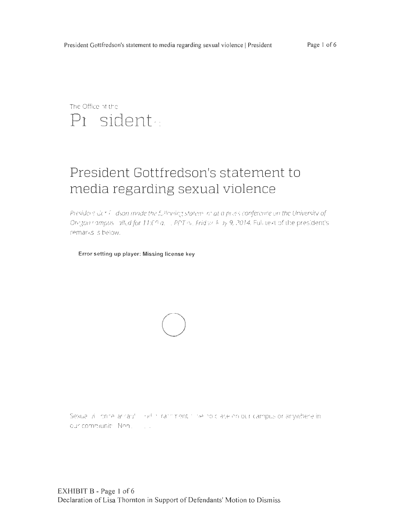# The Office of the Pi sident

# President Gottfredson's statement to media regarding sexual violence

President Gc\* ( dson made the fullowing statem int at a press conference on the University of Oregon campus allud for 11:00 a. PPT or. Friday Allay 9, 2014. Full text of the president's remarks is below.

Error setting up player: Missing license key



Sexual villionne lashard in right in ranning music or ace on our campus or anywhere in our community. Non . . . . . .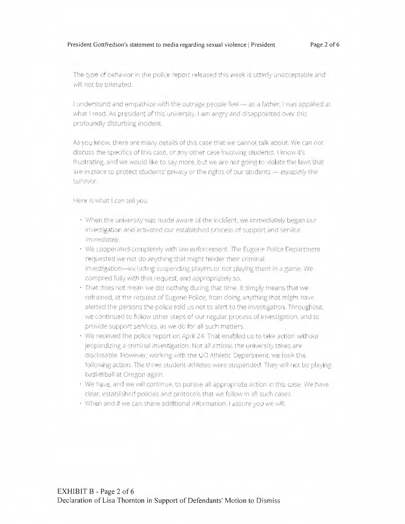The type of behavior in the police report released this week is utterly unacceptable and will not be tolerated.

I understand and empathize with the outrage people feel - as a father, I was appalled at what I read. As president of this university, I am angry and disappointed over this profoundly disturbing incident.

As you know, there are many details of this case that we cannot talk about. We can not discuss the specifics of this case, or any other case involving students. I know it's frustrating, and we would like to say more, but we are not going to violate the laws that are in place to protect students' privacy or the rights of our students - especially the survivor.

Here is what I can tell you:

- When the university was made aware of the incident, we immediately began our investigation and activated our established process of support and service. Immediately.
- · We cooperated completely with law enforcement. The Eugene Police Department requested we not do anything that might hinder their criminal investigation-including suspending players or not playing them in a game. We complied fully with that request, and appropriately so.
- · That does not mean we did nothing during that time. It simply means that we refrained, at the request of Eugene Police, from doing anything that might have alerted the persons the police told us not to alert to the investigation. Throughout, we continued to follow other steps of our regular process of investigation, and to provide support services, as we do for all such matters.
- We received the police report on April 24. That enabled us to take action without jeopardizing a criminal investigation. Not all actions the university takes are disclosable. However, working with the UO Athletic Department, we took the following action: The three student-athletes were suspended. They will not be playing basketball at Oregon again.
- . We have, and we will continue, to pursue all appropriate action in this case. We have clear, established policies and protocols that we follow in all such cases.
- · When and If we can share additional information. Fassure you we will.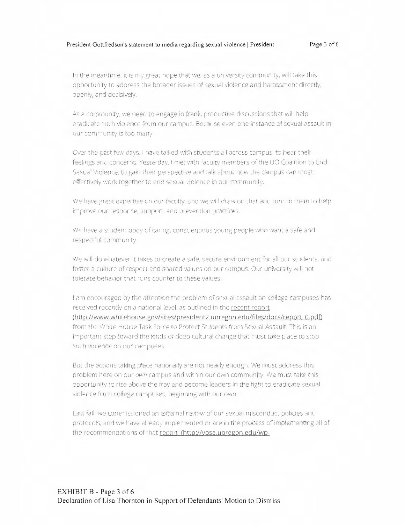In the meantime, it is my great hope that we, as a university community, will take this opportunity to address the broader issues of sexual violence and harassment directly, openly, and decisively.

As a community, we need to engage in frank, productive discussions that will help eradicate such violence from our campus. Because even one instance of sexual assault in our community is too many.

Over the past few days, I have talked with students all across campus, to hear their feelings and concerns. Yesterday, I met with faculty members of the UO Coalition to End-Sexual Violence, to gain their perspective and talk about how the campus can most effectively work together to end sexual violence in our community.

We have great expertise on our faculty, and we will draw on that and turn to them to help improve our response, support, and prevention practices.

We have a student body of caring, conscientious young people who want a safe and respectful community.

We will do whatever it takes to create a safe, secure environment for all our students, and foster a culture of respect and shared values on our campus. Our university will not tolerate behavior that runs counter to these values.

I am encouraged by the attention the problem of sexual assault on college campuses has received recently on a national level, as outlined in the recent report. (http://www.whitehouse.gov/sites/president2.uoregon.edu/files/docs/report\_0.pdf) from the White House Task Force to Protect Students from Sexual Assault. This is an important step toward the kinds of deep cultural change that must take place to stop such violence on our campuses.

But the actions taking place nationally are not nearly enough. We must address this problem here on our own campus and within our own community. We must take this opportunity to rise above the fray and become leaders in the fight to eradicate sexual violence from college campuses, beginning with our own.

Last fall, we commissioned an external review of our sexual misconduct policies and protocols, and we have already implemented or are in the process of implementing all of the recommendations of that report (http://vpsa.uoregon.edu/wp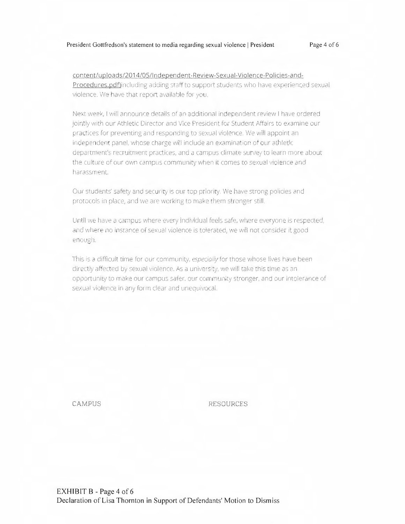content/uploads/2014/05/Independent-Review-Sexual-Violence-Policies-and-Procedures.pdf)including adding staff to support students who have experienced sexual violence. We have that report available for you.

Next week. I will announce details of an additional independent review I have ordered jointly with our Athletic Director and Vice President for Student Affairs to examine our practices for preventing and responding to sexual violence. We will appoint an independent panel, whose charge will include an examination of our athletic department's recruitment practices, and a campus climate survey to learn more about the culture of our own campus community when it comes to sexual violence and harassment.

Our students' safety and security is our top priority. We have strong policies and protocols in place, and we are working to make them stronger still.

Until we have a campus where every individual feels safe, where everyone is respected, and where no instance of sexual violence is tolerated, we will not consider it good enough.

This is a difficult time for our community, especially for those whose lives have been directly affected by sexual violence. As a university, we will take this time as an opportunity to make our campus safer, our community stronger, and our intolerance of sexual violence in any form clear and unequivocal.

CAMPUS

**RESOURCES**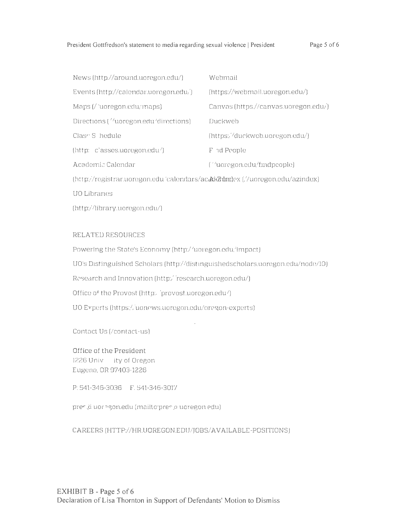| News $[http://around.uoregon.edu/]$               | Wehmail                              |
|---------------------------------------------------|--------------------------------------|
| Events $[http://calendar.uoregon.edu/]$           | (https://webmail.uoregon.edu/)       |
| Maps $\binom{7}{10}$ regoned $\binom{1}{10}$ maps | Canvas (https://canvas.uoregon.edu/) |
| Directions ("uoregon.edu" directions)             | Duckweb                              |
| Clase S. hedule                                   | (https://duckweb.uoregon.edu/)       |
| (http: c'asses.uoregon.edu/)                      | F id People                          |
| Academic Calendar                                 | ("uoregon.edu/findpeople)            |
|                                                   |                                      |

(http://registranuoregon.edu/calendars/ac.addomingex(//uoregon.edu/azindex)

UO Libranes

(http://library.uoregon.edu/)

# RELATED RESOURCES

Powering the State's Economy (http://uoregon.edu/impact) UO's Distinguished Scholars (http://distinguishedscholars.uoregon.edu/node/10) Research and Innovation (http://research.uoregon.edu/) Office of the Provost (http://provost.uoregon.edu/) UO Experts (https://uonews.uoregon.edu/oregon-experts)

Contact Us (/contact-us)

Office of the President 1226 Univ ity of Oregon Eugene, OR 97403-1226

P: 541-346-3036 F. 541-346-3017

pres à uoregoniedu (mailtorpres a uoregoniedu).

CAREERS (HTTP://HR.UQREGON.EDU/JOBS/AVAILABLE-POSITIONS)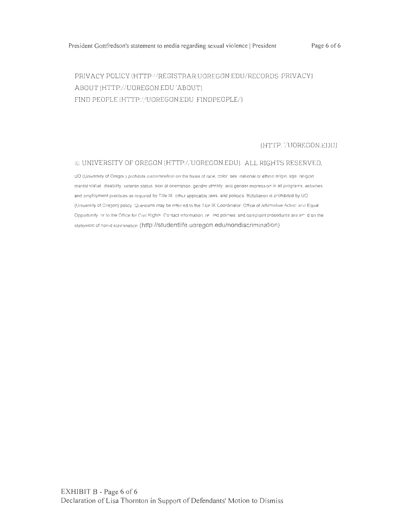Page 6 of 6

# PRIVACY POLICY (HTTP://REGISTRAR.UOREGON EDU/RECORDS-PRIVACY) ABOUT (HTTP://UOREGON.EDU 'ABOUT) FIND PEOPLE (HTTP://UOREGON.EDU FINDPEOPLE/)

(HTTP. '/UOREGON.EDU)

## © UNIVERSITY OF OREGON (HTTP://UOREGON.EDU). ALL RIGHTS RESERVED.

UO (University of Oregor) prohibits discrimination on the basis of race, color sex inational or ethnic origin, age religion mantal status disability, veteran status, sexi al orientation, gender identity, and gender expression in all programs, activities and employment practices as required by Title IX other applicable laws, and policies. Retaliation is prohibited by UO (University of Cregon) policy. Questions may be referred to the Tille IX Coordinator. Office of Affirmalive Action and Equal Opportunity or to the Office for Civil Rights. Contact information, re- ted polinies, and complaint procedures are list if on the statement of non-discrimination (http://studentlife.uoregon.edu/nondiscrimination)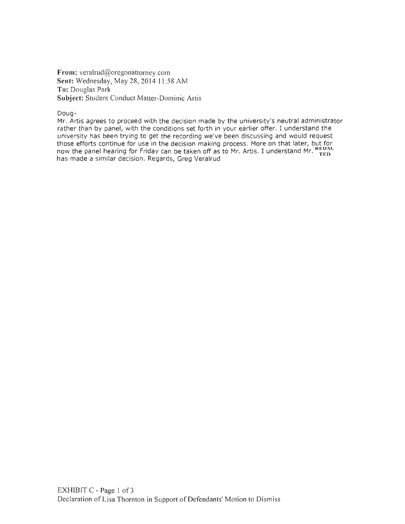**From:** [veralrud@oregonattorney.com](mailto:veralrud@oregonattorney.com) Sent: Wednesday, May 28, 2014 11:58 AM **To:** Douglas Park **Subject:** Student Conduct Matter-Dominic Artis

Doug-

Mr. Artis agrees to proceed with the decision made by the university's neutral administrator rather than by panel, with the conditions set forth in your earlier offer. I understand the university has been trying to get the recording we've been discussing and would request those efforts continue for use in the decision making process. More on that later, but for now the panel hearing for Friday can be taken off as to Mr. Artis. I understand Mr.  $_{\rm TFD}^{\rm C}$ has made a similar decision. Regards, Greg Veralrud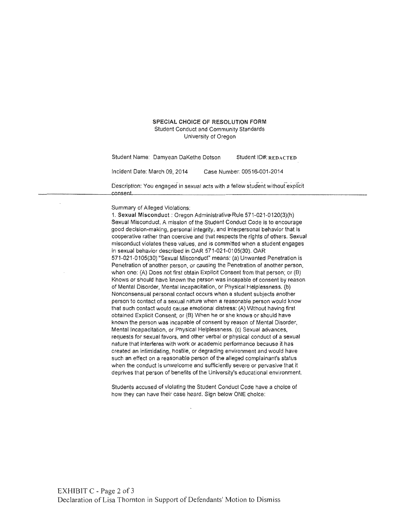### SPECIAL CHOICE OF RESOLUTION FORM

Student Conduct and Community Standards University of Oregon

Student Name: Damyean DaKethe Dotson Student ID#: REDACTED Incident Date: March 09, 2014 Case Number: 00516-001-2014 Description: You engaged in sexual acts with a fellow student without explicit<br>consent

 $~\sim~$   $~\sim~$   $~\sim~$   $~\sim~$   $~\sim~$   $~\sim~$   $~\sim$   $~\sim$   $~\sim$   $~\sim$   $~\sim$   $~\sim$   $~\sim$   $~\sim$   $~\sim$   $~\sim$   $~\sim$   $~\sim$   $~\sim$   $~\sim$   $~\sim$   $~\sim$   $~\sim$   $~\sim$   $~\sim$   $~\sim$   $~\sim$   $~\sim$   $~\sim$   $~\sim$   $~\sim$   $~\sim$   $~\sim$   $~\sim$   $~\sim$   $~\sim$ 

Summary of Alleged Violations:

1. Sexual Misconduct : Oregon Administrative Rule 571-021-0120(3)(h) Sexual Misconduct. A mission of the Student Conduct Code is to encourage good decision-making, personal integrity, and interpersonal behavior that Is cooperative rather than coercive and that respects the rights of others, Sexual misconduct violates these values, and is committed when a student engages in sexual behavior described in OAR 571-021-0105(30), OAR 571-021 -0105(30) "Sexual Misconduct" means: (a) Unwanted Penetration is Penetration of another person, or causing the Penetration of another person, when one: (A) Does not first obtain Explicit Consent from that person; or (B) Knows or should have known the person was incapable of consent by reason of Mental Disorder, Mental Incapacitation, or Physical Helplessness. (b) Nonconsensual personal contact occurs when a student subjects another person to contact of a sexual nature when a reasonable person would know that such contact would cause emotional distress: (A) Without having first obtained Explicit Consent; or (B) When he or she knows or should have known the person was incapable of consent by reason of Mental Disorder, Mental Incapacitation. or Physical Helplessness. (c) Sexual advances, requests for sexual favors, and other verbal or physical conduct of a sexual nature that interferes with work or academic performance because it has created an Intimidating, hostile, or degrading environment and would have such an.effect on a reasonable person of the alleged complainant's status when the conduct ls unwelcome and sufficiently severe or pervasive that it deprives that person of benefits of the University's educational environment.

Students accused of violating the Student Conduct Code have a choice of how they can have their case heard. Sign below ONE choice: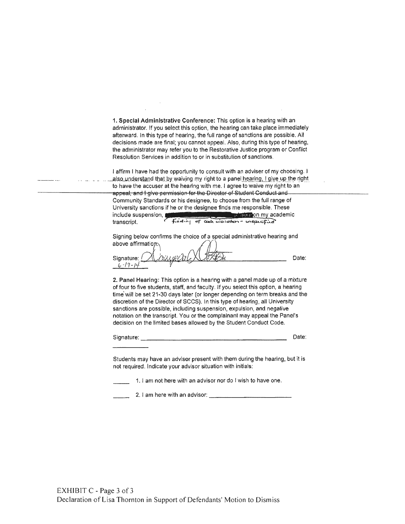1. Special Administrative Conference: This option is a hearing with an administrator. If you select this option, the hearing can take place immediately afterward. In this type of hearing, the full range of sanctions are possible. All decisions made are final; you cannot appeal. Also, during this type of hearing, the administrator may refer you to the Restorative Justice program or Conflict Resolution Services in addition to or in substitution of sanctions.

I affirm I have had the opportunity to consult with an adviser of my choosing. I also understand that by waiving my right to a panel hearing, I give up the right to have the accuser at the hearing with me. I agree to waive my right to an appeal, and I give permission for the Director of Student Conduct and Community Standards or his designee, to choose from the full range of University sanctions if he or the designee finds me responsible. These include suspension, **Second Contract on the state of the state on my academic** Finding of cade violation - unspectfuld transcript.

Signing below confirms the choice of a special administrative hearing and above affirmation.

Signature: ( Date:  $6 - 19 - 14$ 

2. Panel Hearing: This option is a hearing with a panel made up of a mixture of four to five students, staff, and faculty. If you select this option, a hearing time will be set 21-30 days later (or longer depending on term breaks and the discretion of the Director of SCCS). In this type of hearing, all University sanctions are possible, including suspension, expulsion, and negative notation on the transcript. You or the complainant may appeal the Panel's decision on the limited bases allowed by the Student Conduct Code.

Signature:

Date:

Students may have an advisor present with them during the hearing, but it is not required. Indicate your advisor situation with initials:

1. I am not here with an advisor nor do I wish to have one.

2. I am here with an advisor: The contract of the contract of the contract of the contract of the contract of the contract of the contract of the contract of the contract of the contract of the contract of the contract of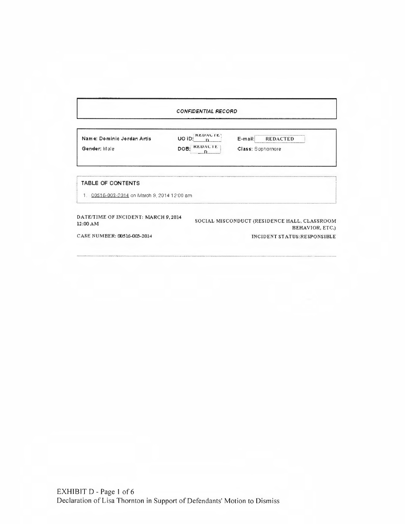### *CONFIDENTIAL RECORD*

| Name: Dominic Jordan Artis | <b>REDACTE?</b><br>UO ID: | <b>REDACTED</b><br>$F-mail$ |  |
|----------------------------|---------------------------|-----------------------------|--|
| Gender: Male               | DOB: REDACTE              | Class: Sophornore           |  |

### TABLE OF CONTENTS

1. 00516-003-2014 on March 9, 2014 12:00 am

DATE/TIME OF INCIDENT: MARCH 9, 2014 12:00AM

SOCIAL MISCONDUCT (RESIDENCE HALL, CLASSROOM BEHAVIOR, ETC.) INCIDENT STATUS:RESPONSIBLE

CASE NUMBER: 00516-003-2014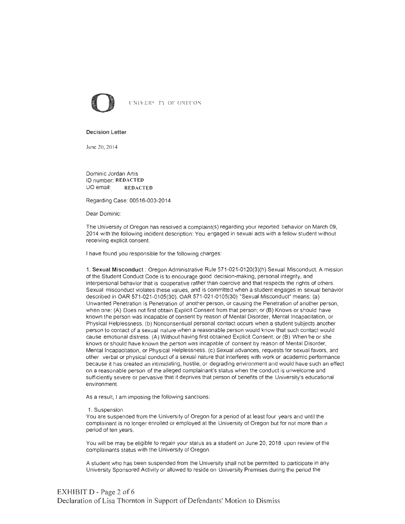

#### Decision Letter

June 20, 2014

Dominic Jordan Artis ID number: REDACTED UO email: REDACTED

Regarding Case: 00516-003-2014

Dear Dominic:

The University of Oregon has resolved a complaint(s) regarding your reported behavior on March 09, 2014 with the following incident description: You engaged in sexual acts with a fellow student without receiving explicit consent.

I have found you responsible for the following charges:

1. Sexual Misconduct : Oregon Administrative Rule 571-021-0120(3)(h) Sexual Misconduct. A mission of the Student Conduct Code is to encourage good decision-making, personal integrity, and interpersonal behavior that is cooperative rather than coercive and that respects the rights of others. Sexual misconduct violates these values, and is committed when a student engages in sexual behavior described in OAR 571-021-0105(30). OAR 571-021-0105(30) "Sexual Misconduct" means: (a) Unwanted Penetration is Penetration of another person, or causing the Penetration of another person, when one: (A) Does not first obtain Explicit Consent from that person; or (B) Knows or should have known the person was incapable of consent by reason of Mental Disorder, Mental Incapacitation, or Physical Helplessness. (b) Nonconsensual personal contact occurs when a student subjects another person to contact of a sexual nature when a reasonable person would know that such contact would cause emotional distress: (A) Without having first obtained Explicit Consent; or (B) When he or she knows or should have known the person was incapable of consent by reason of Mental Disorder, Mental Incapacitation, or Physical Helplessness. (c) Sexual advances, requests for sexual favors, and other verbal or physical conduct of a sexual nature that interferes with work or academic performance because it has created an intimidating, hostile, or degrading environment and would have such an effect on a reasonable person of the alleged complainant's status when the conduct is unwelcome and sufficiently severe or pervasive that it deprives that person of benefits of the University's educational environment.

As a result, I am imposing the following sanctions:

#### 1. Suspension

You are suspended from the University of Oregon for a period of at least four years and until the complainant is no longer enrolled or employed at the University of Oregon but for not more than a period of ten years.

You will be may be eligible to regain your status as a student on June 20, 2018 upon review of the complainants status with the University of Oregon.

A student who has been suspended from the University shall not be permitted to participate in any University Sponsored Activity or allowed to reside on University Premises during the period the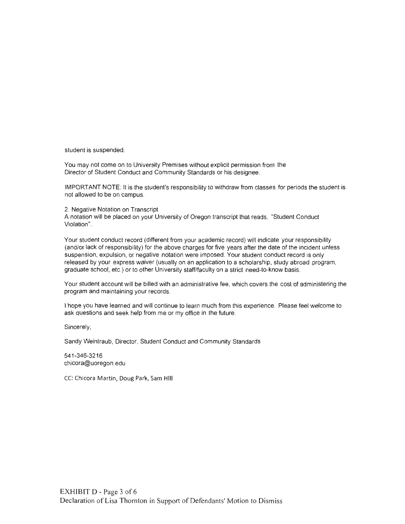student is suspended.

You may not come on to University Premises without explicit permission from the Director of Student Conduct and Community Standards or his designee.

IMPORTANT NOTE: It is the student's responsibility to withdraw from classes for periods the student is not allowed to be on campus.

2. Negative Notation on Transcript A notation will be placed on your University of Oregon transcript that reads, "Student Conduct Violation".

Your student conduct record (different from your academic record) will indicate your responsibility (and/or lack of responsibility) for the above charges for five years after the date of the incident unless suspension, expulsion, or negative notation were imposed. Your student conduct record is only released by your express waiver (usually on an application to a scholarship, study abroad program, graduate school, etc.) or to other University staff/faculty on a strict need-to-know basis.

Your student account will be billed with an administrative fee, which covers the cost of administering the program and maintaining your records.

I hope you have learned and will continue to learn much from this experience. Please feel welcome to ask questions and seek help from me or my office in the future.

Sincerely,

Sandy Weintraub, Director, Student Conduct and Community Standards

541-346-3216 [chicora@uoregon.edu](mailto:chicora@uoregon.edu)

CC: Chicora Martin, Doug Park, Sam HIII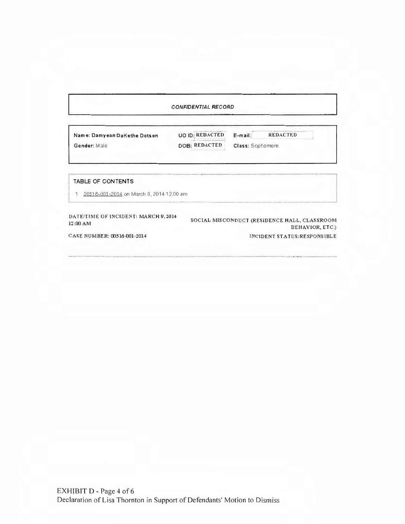# CONFIDENTIAL RECORD

BEHAVIOR, ETC.)

| Name: Damyean DaKethe Dotson | UO ID: REDACTED | $E$ -mail:       | <b>REDACTED</b> |
|------------------------------|-----------------|------------------|-----------------|
| Gender: Male                 | DOB: REDACTED   | Class: Sophomore |                 |

# TABLE OF CONTENTS

00~1 fi-001-2fiH *on* March 9, 2014 12·00 arn

DATE/TIME OF INCIDENT: MARCH 9, 2014 12:00AM SOCIAL MISCONDUCT (RESIDENCE HALL, CLASSROOM INCIDENT STATUS: RESPONSIBLE

CASE NUMBER: 00516-001-1014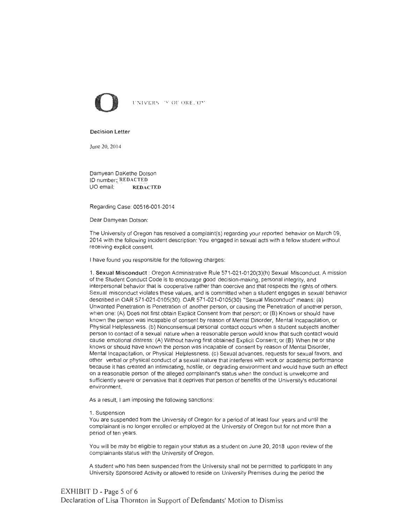

#### Decision Letter

June 20. 2014

Damyean DaKethe Dotson ID number: REDACTED UO email: REDACTED

Regarding Case: 00516-001-2014

Dear Damyean Dotson:

The University of Oregon has resolved a complaint(s) regarding your reported behavior on March 09, 2014 with the following incident description: You engaged in sexual acts with a fellow student without receiving explicit consent

I have found you responsible for the following charges:

1. Sexual Misconduct : Oregon Administrative Rule 571-021-0120(3)(h) Sexual Misconduct. A mission of the Student Conduct Code is to encourage good decision-making, personal integrity, and interpersonal behavior that is cooperative rather than coercive and that respects the rights of others. Sexual misconduct violates these values, and is committed when a student engages in sexual behavior described in OAR 571-021-0105(30). OAR 571-021-0105(30) "Sexual Misconduct" means: (a) Unwanted Penetration is Penetration of another person, or causing the Penetration of another person, when one: (A) Does not first obtain Explicit Consent from that person; or (B) Knows or should have known the person was incapable of consent by reason of Mental Disorder, Mental Incapacitation, or Physical Helplessness. (b) Nonconsensual personal contact occurs when a student subjects another person to contact of a sexual nature when a reasonable person would know that such contact would cause emotional distress: (A) Without having first obtained Explicit Consent; or (B) When he or she knows or should have known the person was incapable of consent by reason of Mental Disorder, Mental Incapacitation, or Physical Helplessness. (c) Sexual advances, requests for sexual favors. and other verbal or physical conduct of a sexual nature that interferes with work or academic performance because it has created an intimidating, hostile, or degrading environment and would have such an effect on a reasonable person of the alleged complainant's status when the conduct is unwelcome and sufficiently severe or pervasive that it deprives that person of benefits of the University's educational environment.

As a result, I am imposing the following sanctions:

#### 1. Suspension

You are suspended from the University of Oregon for a period of at least four years and until the complainant is no longer enrolled or employed at the University of Oregon but for not more than a period of ten years.

You will be may be eligible to regain your status as a student on June 20, 2018 upon review of the complainants status with the University of Oregon.

A student who has been suspended from the University shall not be permitted to participate in any University Sponsored Activity or allowed to reside on University Premises during the period the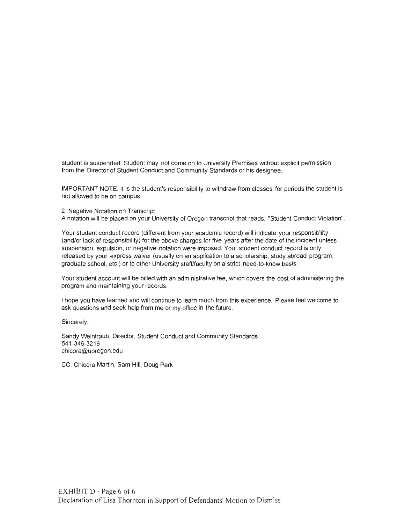student is suspended. Student may not come on to University Premises without explicit permission from the Director of Student Conduct and Community Standards or his designee.

IMPORT ANT NOTE: It is the student's responsibility to withdraw from classes for periods the student is not allowed to be on campus .

2. Negative Notation on Transcript

A notation will be placed on your University of Oregon transcript that reads, "Student Conduct Violation".

Your student conduct record (different from your academic record) will indicate your responsibility (and/or lack of responsibility) for the above charges for five years after the date of the incident unless suspension, expulsion, or negative notation were imposed. Your student conduct record is only released by your express waiver (usually on an application to a scholarship, study abroad program, graduate school, etc.) or to other University staff/faculty on a strict need-to-know basis.

Your student account will be billed with an administrative fee, which covers the cost of administering the program and maintaining your records.

I hope you have learned and will continue to learn much from this experience. Please feel welcome to ask questions and seek help from me or my office in the future.

Sincerely,

Sandy Weintraub, Director, Student Conduct and Community Standards 541-346-3216 [chicora@uoregon.edu](mailto:chicora@uoregon.edu)

CC: Chicora Martin, Sam Hill, Doug Park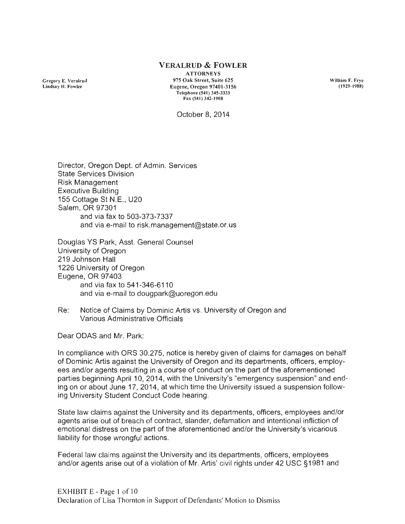# **VERALRUD & FOWLER**

Gregory E. Veralrud Lindsay **H.** Fowler

ATTORNEYS 975 Oak Street, Suite 625 Eu gene, Oregon 97401-3156 Telephone (541) 345-3333 Fax  $(541)$  342-1908

William F. Frye ( 1929- 1988)

October 8, 2014

Director, Oregon Dept. of Admin. Services State Services Division Risk Management Executive Building 155 Cottage St N.E., U20 Salem, OR 97301 and via fax to 503-373-7337 and via e-mail [to risk.management@state.or.us](mailto:torisk.management@state.or.us)

Douglas YS Park, Asst. General Counsel University of Oregon 219 Johnson Hall 1226 University of Oregon Eugene, OR 97403 and via fax to 541-346-6110 and via e-mail to [dougpark@uoregon.edu](mailto:dougpark@uoregon.edu)

Re: Notice of Claims by Dominic Artis vs . University of Oregon and Various Administrative Officials

Dear ODAS and Mr. Park:

In compliance with ORS 30.275, notice is hereby given of claims for damages on behalf of Dominic Artis against the University of Oregon and its departments, officers, employees and/or agents resulting in a course of conduct on the part of the aforementioned parties beginning April 10, 2014, with the University's "emergency suspension" and end-. ing on or about June 17, 2014, at which time the University issued a suspension following University Student Conduct Code hearing.

State law claims against the University and its departments, officers, employees and/or agents arise out of breach of contract, slander, defamation and intentional infliction of emotional distress on the part of the aforementioned and/or the University's vicarious liability for those wrongful actions.

Federal law claims against the University and its departments, officers, employees and/or agents arise out of a violation of Mr. Artis' civil rights under 42 USC §1981 and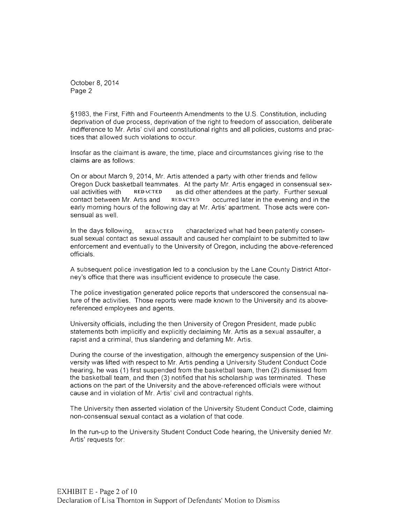October 8, 2014 Page 2

§1983, the First, Fifth and Fourteenth Amendments to the U.S. Constitution, including deprivation of due process, deprivation of the right to freedom of association, deliberate indifference to Mr. Artis' civil and constitutional rights and all policies, customs and practices that allowed such violations to occur.

Insofar as the claimant is aware, the time, place and circumstances giving rise to the claims are as follows:

On or about March 9, 2014, Mr. Artis attended a party with other friends and fellow Oregon Duck basketball teammates. At the party Mr. Artis engaged in consensual sexual activities with  $\overline{REDACTED}$  as did other attendees at the party. Further sexual contact between Mr. Artis and  $\overline{REDACTED}$  occurred later in the evening and in the  $REDACTER$  occurred later in the evening and in the early morning hours of the following day at Mr. Artis' apartment. Those acts were consensual as well.

In the days following,  $\mathbb{R}$  REDACTED characterized what had been patently consensual sexual contact as sexual assault and caused her complaint to be submitted to law enforcement and eventually to the University of Oregon, including the above-referenced officials.

A subsequent police investigation led to a conclusion by the Lane County District Attorney's office that there was insufficient evidence to prosecute the case.

The police investigation generated police reports that underscored the consensual nature of the activities. Those reports were made known to the University and its abovereferenced employees and agents.

University officials, including the then University of Oregon President, made public statements both implicitly and explicitly declaiming Mr. Artis as a sexual assaulter, a rapist and a criminal, thus slandering and defaming Mr. Artis.

During the course of the investigation, although the emergency suspension of the University was lifted with respect to Mr. Artis pending a University Student Conduct Code hearing, he was (1) first suspended from the basketball team, then (2) dismissed from the basketball team , and then (3) notified that his scholarship was terminated. These actions on the part of the University and the above-referenced officials were without cause and in violation of Mr. Artis' civil and contractual rights.

The University then asserted violation of the University Student Conduct Code, claiming non-consensual sexual contact as a violation of that code.

In the run-up to the University Student Conduct Code hearing, the University denied Mr. Artis' requests for: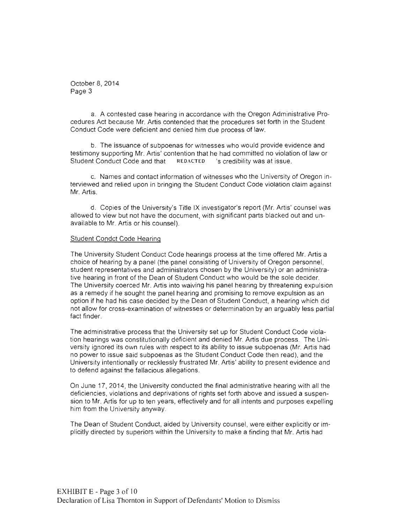October 8, 2014 Page 3

a. A contested case hearing in accordance with the Oregon Administrative Procedures Act because Mr. Artis contended that the procedures set forth in the Student Conduct Code were deficient and denied him due process of law.

b. The issuance of subpoenas for witnesses who would provide evidence and testimony supporting Mr. Artis' contention that he had committed no violation of law or<br>Student Conduct Code and that REDACTED 's credibility was at issue. Student Conduct Code and that REDACTED

c. Names and contact information of witnesses who the University of Oregon interviewed and relied upon in bringing the Student Conduct Code violation claim against Mr. Artis.

d. Copies of the University's Title IX investigator's report (Mr. Artis' counsel was allowed to view but not have the document, with significant parts blacked out and unavailable to Mr. Artis or his counsel).

# Student Condct Code Hearing

The University Student Conduct Code hearings process at the time offered Mr. Artis a choice of hearing by a panel (the panel consisting of University of Oregon personnel, student representatives and administrators chosen by the University) or an administrative hearing in front of the Dean of Student Conduct who would be the sole decider. The University coerced Mr. Artis into waiving his panel hearing by threatening expulsion as a remedy if he sought the panel hearing and promising to remove expulsion as an option if he had his case decided by the Dean of Student Conduct, a hearing which did not allow for cross-examination of witnesses or determination by an arguably less partial fact finder.

The administrative process that the University set up for Student Conduct Code violation hearings was constitutionally deficient and denied Mr. Artis due process. The University ignored its own rules with respect to its ability to issue subpoenas (Mr. Artis had no power to issue said subpoenas as the Student Conduct Code then read), and the University intentionally or recklessly frustrated Mr. Artis' ability to present evidence and to defend against the fallacious allegations.

On June 17, 2014, the University conducted the final administrative hearing with all the deficiencies, violations and deprivations of rights set forth above and issued a suspension to Mr. Artis for up to ten years, effectively and for all intents and purposes expelling him from the University anyway.

The Dean of Student Conduct, aided by University counsel, were either explicitly or implicitly directed by superiors within the University to make a finding that Mr. Artis had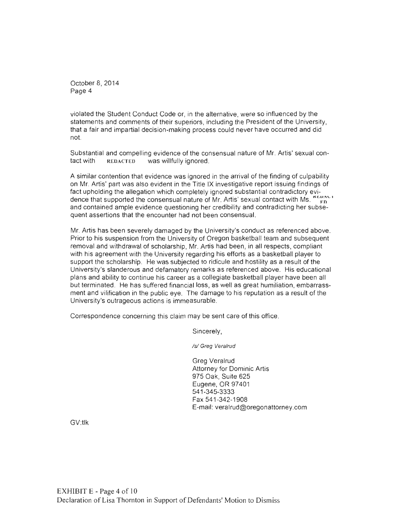October 8, 2014 Page 4

violated the Student Conduct Code or, in the alternative, were so influenced by the statements and comments of their superiors, including the President of the University, that a fair and impartial decision-making process could never have occurred and did not.

Substantial and compelling evidence of the consensual nature of Mr. Artis' sexual contact with **REDACTED** was willfully ignored.

A similar contention that evidence was ignored in the arrival of the finding of culpability on Mr. Artis' part was also evident in the Title IX investigative report issuing findings of fact upholding the allegation which completely ignored substantial contradictory evidence that supported the consensual nature of Mr. Artis' sexual contact with Ms.  $\sum_{r=0}^{\infty}$ and contained ample evidence questioning her credibility and contradicting her subsequent assertions that the encounter had not been consensual.

Mr. Artis has been severely damaged by the University's conduct as referenced above. Prior to his suspension from the University of Oregon basketball team and subsequent removal and withdrawal of scholarship, Mr. Artis had been, in all respects, compliant with his agreement with the University regarding his efforts as a basketball player to support the scholarship. He was subjected to ridicule and hostility as a result of the University's slanderous and defamatory remarks as referenced above. His educational plans and ability to continue his career as a collegiate basketball player have been all but terminated. He has suffered financial loss, as well as great humiliation, embarrassment and vilification in the public eye. The damage to his reputation as a result of the University's outrageous actions is immeasurable.

Correspondence concerning this claim may be sent care of this office .

Sincerely,

/s/ Greg Veralrud

Greg Veralrud Attorney for Dominic Artis 975 Oak, Suite 625 Eugene, OR 97401 541-345-3333 Fax 541-342-1908 E-mail: [veralrud@oregonattorney.com](mailto:veralrud@oregonattorney.com)

GV:tlk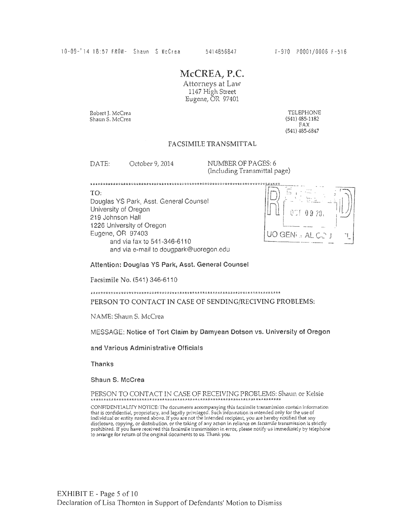# McCREA, P.C.

Attorneys at Law 1147 High Street Eugene, OR 97401

Robert J. McCrea Shaun S. McCrea

TELEPHONE (541) 485-1182 FAX (541) 485-6847

# FACSIMILE TRANSMITTAL

DATE: October 9, 2014 NUMBER OF PAGES: 6

(Including Transmittal page)

TO: Douglas YS Park, Asst. General Counsel University of Oregon 219 Johnson Hall 1226 University of Oregon Eugene, OR 97403 and via fax to 541-346-6110 and via e-mail to dougpark@uoregon.edu

UO GENI  $\mathbf{A} \vdash C$ 

Attention: Douglas YS Park, Asst. General Counsel

Facsimile No. (541) 346-6110

PERSON TO CONTACT IN CASE OF SENDING/RECIVING PROBLEMS:

NAME: Shaun S. McCrea

MESSAGE: Notice of Tort Claim by Damyean Dotson vs. University of Oregon

and Various Administrative Officials

Thanks

Shaun S. McCrea

PERSON TO CONTACT IN CASE OF RECEIVING PROBLEMS: Shaun or Kelsie

CONFIDENTIALITY NOTICE: The documents accompanying this facsimile transmission contain information<br>that is confidential, proprietary, and legally privileged. Such information is intended only for the use of<br>individual or e disclosure, copying, or distribution, or the taking of any action in reliance on facsimile transmission is strictly prohibited. If you have received this facsimile transmission in error, please notify us immediately by telephone to arrange for return of the original documents to us. Thank you.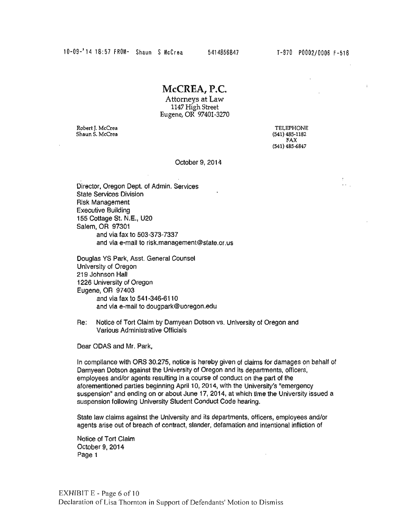# **McCREA, P.C.**

Attorneys at Law 1147 High Street Eugene, OR 97401-3270

Robert J. McCrea Shaun S. McCrea

TELEPHONE (541) 485-1182 FAX (541) 485-6847

October 9, 2014

Director, Oregon Dept. of Admin. Services State Services Division Risk Management Executive Building 155 Cottage St. N.E., U20 Salem, OR 97301 and via fax to 503-373-7337 and via e-mail to risk.management@state.or.us

Douglas YS Park, Asst. General Counsel University of Oregon 219 Johnson Hall 1226 University of Oregon Eugene, OR 97403 and via fax to 541-346-611 O and via e-mail to [dougpark@uoregon.edu](mailto:dougpark@uoregon.edu) 

Re: Notice of Tort Claim by Damyean Dotson vs. University of Oregon and Various Administrative Officials

Dear ODAS and Mr. Park,

In compliance with ORS 30.275, notice is hereby given of claims for damages on behalf of Damyean Dotson against the University of Oregon and its departments, officers, employees and/or agents resulting in a course of conduct on the part of the aforementioned parties beginning April 10, 2014, with the University's "emergency suspension" and ending on or about June 17, 2014, at which time the University issued a suspension following University Student Conduct Code hearing.

State law claims against the University and its departments, officers, employees and/or agents arise out of breach of contract, slander, defamation and intentional infliction of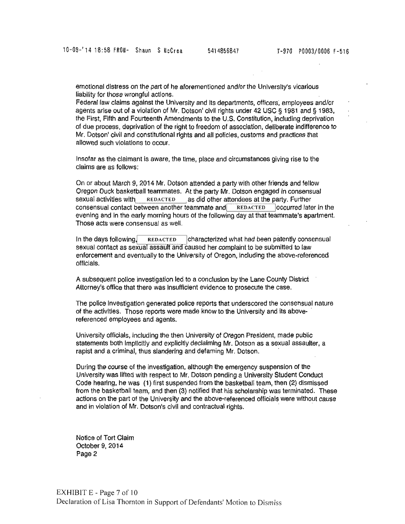emotional distress on the part of he aforementioned and/or the University's vicarious liability for those wrongful actions.

Federal law claims against the University and Its departments, officers; employees and/or agents arise out of a violation of Mr. Dotson' civil rights under 42 USC § 1981 and § 1983, the First, Fifth and Fourteenth Amendments to the U.S. Constitution, including deprivation of due process, deprivation of the right to freedom of association, deliberate indifference to Mr. Dotson' civil and constitutional rights and all policies, customs and practices that allowed such vlolatlons to occur.

Insofar as the claimant is aware, the time, place and circumstances giving rise to the claims are as follows:

On or about March 9, 2014 Mr. Dotson attended a party with other friends and fellow Oregon Duck basketball teammates. At the party Mr. Dotson engaged in consensual sexual activities with REDACTED as did other attendees at the party. Further consensual contact between another teammate and **REDACTED** occurred later in the evening and in the early morning hours of the following day at that teammate's apartment. Those acts were consensual as well.

In the days following <sup>~</sup>REDACTED !characterized what had been patently consensual sexual contact as sexual assault and caused her complaint to be submitted to law enforcement and eventually to the University of Oregon, including the above-referenced offlclals.

A subsequent police investigation led to a conclusion by the Lane County District Attorney's office that there was Insufficient evidence to prosecute the case.

The police Investigation generated police reports that underscored the consensual nature of the activities. Those reports were made know to the University and its abovereferenced employees and agents.

University officials, including the then University of Oregon President, made public statements both implicitly and explicitly declaiming Mr. Dotson as a sexual assaulter, a rapist and a criminal, thus slandering and defaming Mr. Dotson.

During the course of the Investigation, although the emergency suspension of the University was lifted with respect to Mr. Dotson pending a University Student Conduct Code hearing, he was (1) first suspended from the basketball team, then (2) dismissed from the basketball team, and then (3) notified that his scholarship was terminated. These actions on the part of the University and the above-referenced officials were without cause and in violation of Mr. Dotson's civil and contractual rights.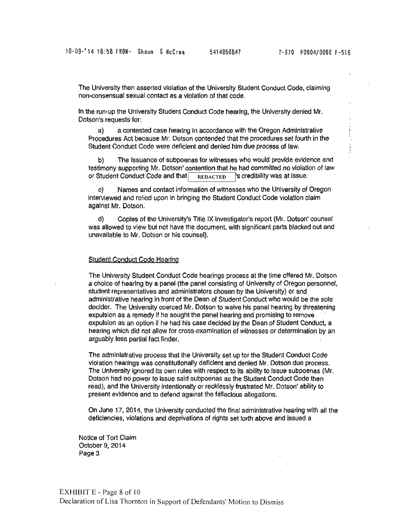$\ddot{\cdot}$ 

The University then asserted violation of the University Student Conduct Code, claiming non-consensual sexual contact as a violation of that code.

In the run·up the University Student Conduct Code hearing, the University denied Mr. Dotson's requests for:

a) a contested case hearing in accordance with the Oregon Administrative Procedures Act because Mr. Dotson contended that the procedures set fourth in the Student Conduct Code were deficient and denied him due process of law.

b) The Issuance of subpoenas for witnesses who would provide evidence and testimony supporting Mr. Dotson' contention that he had committed no violation of law or Student Conduct Code and that REDACTED S credibility was at issue.

c) Names and contact information of witnesses who the University of Oregon interviewed and relied upon in bringing the Student Conduct Code violation claim against Mr. Dotson.

d) Coples of the University's Title IX investigator's report (Mr. Dotson' counsel was allowed to view but not have the document, with significant parts blacked out and unavailable to Mr. Dotson or his counsel).

# Student Conduct Code Hearing

The University Student Conduct Code hearings process at the time offered Mr. Dotson a choice of hearing by a panel (the panel consisting of University of Oregon personnel, student representatives and administrators chosen by the University) or and administrative hearing in front of the Dean of Student Conduct who would be the sole decider. The University coerced Mr. Dotson to waive his panel hearing by threatening expulsion as a remedy lf he sought the panel hearing and promising to remove expulsion as an option if he had his case decided by the Dean of Student Conduct, a hearing which did not allow for cross-examination of witnesses or determination by an arguably less partial fact finder.

The administrative process that the University set up for the Student Conduct Code violation hearings was constitutionally deficient and denied Mr. Dotson due process. The University ignored its own rules with respect to its ability to Issue subpoenas (Mr. Dotson had no power to issue said subpoenas as the Student Conduct Code then read), and the University intentionally or recklessly frustrated Mr. Dotson' ability to present evidence and to defend against the fallacious allegations.

On June 17, 2014, the University conducted the final administrative hearing with all the deficiencies, violations and deprivations of rights set forth above and issued a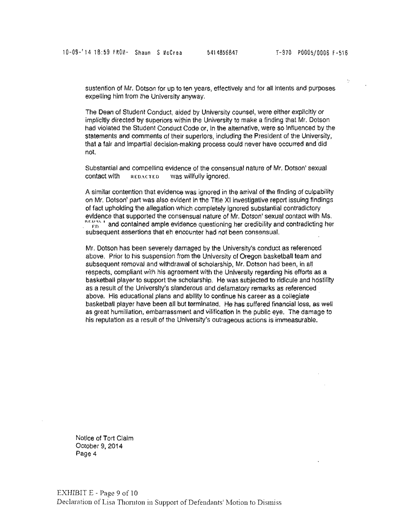sustention of Mr. Dotson for up to ten years, effectively and for all Intents and purposes expelling him from the University anyway.

The Dean of Student Conduct, aided by University counsel, were either explicitly or implicitly directed by superiors within the University to make a finding that Mr. Dotson had violated the Student Conduct Code or, ln the alternatlve, were so Influenced by the statements and comments of their superiors, including the President of the University, that a fair and impartial decision-making process could never have occurred and did not.

Substantial and comoellino evidence of the consensual nature of Mr. Dotson' sexual contact with REDACTED was willfully ignored.

A similar contention that evidence was ignored in the arrival of the finding of culpability on Mr. Dotson' part was also evident In the Title XI investigative report issuing findings of fact upholding the allegation which completely ignored substantial contradictory evidence that supported the consensual nature of Mr. Dotson' sexual contact with Ms .  $\frac{NLD/3N-1}{FD}$  and contained ample evidence questioning her credibility and contradicting her subsequent assertions that eh encounter had not been consensual.

Mr. Dotson has been severely damaged by the University's conduct as referenced above. Prior to his suspension from the University of Oregon basketball team and subsequent removal and withdrawal of scholarship, Mr. Dotson had been, in all respects, compliant with his agreement with the University regarding his efforts as a basketball player to support the scholarship. He was subjected to ridicule and hostility as a result of the University's slanderous and defamatory remarks as referenced above. His educational plans and ability to continue his career as a collegiate basketball player have been all but terminated. He has suffered financial loss, as well as great humiliation, embarrassment and vilification In the public eye. The damage to his reputation as a result of the University's outrageous actions is immeasurable.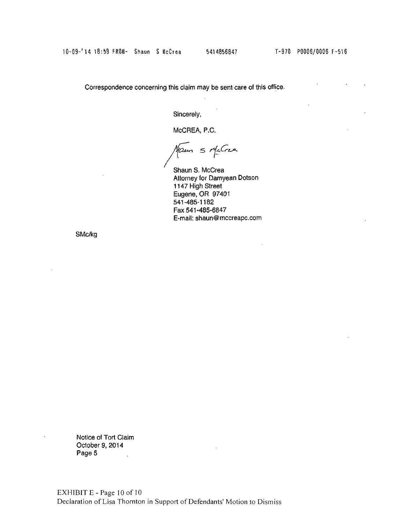Correspondence concerning this claim may be sent care of this office.

Sincerely,

McCREA, P.C.

Maun 5 McCrea

Shaun S. McCrea Attorney for Damyean Dotson 1147 High Street Eugene, OR 97401 541-485-1182 Fax 541·485·6847 E-mail: [shaun@mccreapc.com](mailto:shaun@mccreapc.com) 

SMc/kg

Notice of Tort Claim October 9, 2014 Page 5  $\overline{\phantom{a}}$